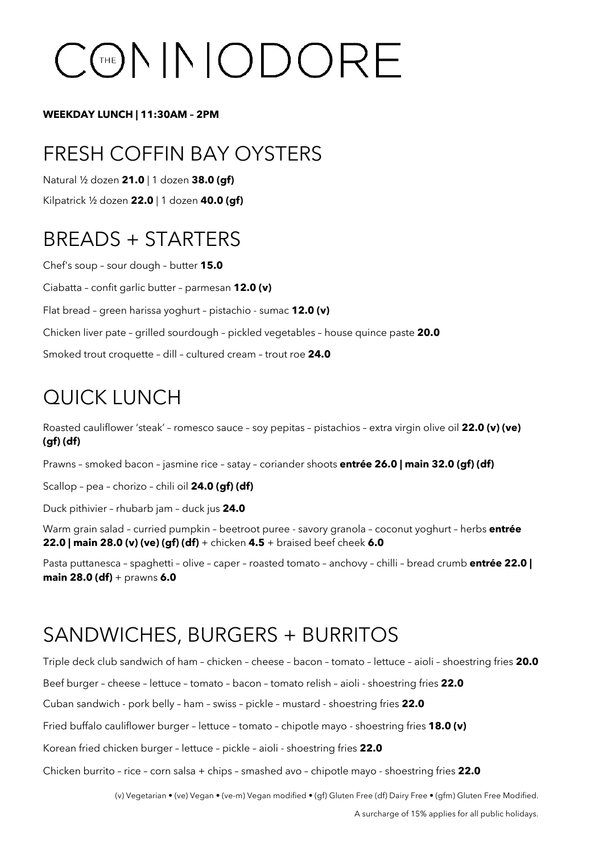# CCENNODORE

#### **WEEKDAY LUNCH | 11:30AM – 2PM**

# FRESH COFFIN BAY OYSTERS

Natural ½ dozen **21.0** | 1 dozen **38.0 (gf)**

Kilpatrick ½ dozen **22.0** | 1 dozen **40.0 (gf)**

# BREADS + STARTERS

Chef's soup – sour dough – butter **15.0** Ciabatta – confit garlic butter – parmesan **12.0 (v)** Flat bread – green harissa yoghurt – pistachio - sumac **12.0 (v)** Chicken liver pate – grilled sourdough – pickled vegetables – house quince paste **20.0** Smoked trout croquette – dill – cultured cream – trout roe **24.0**

# QUICK LUNCH

Roasted cauliflower 'steak' – romesco sauce – soy pepitas – pistachios – extra virgin olive oil **22.0 (v) (ve) (gf) (df)**

Prawns – smoked bacon – jasmine rice – satay – coriander shoots **entrée 26.0 | main 32.0 (gf) (df)** 

Scallop – pea – chorizo – chili oil **24.0 (gf) (df)**

Duck pithivier – rhubarb jam – duck jus **24.0**

Warm grain salad – curried pumpkin – beetroot puree - savory granola – coconut yoghurt – herbs **entrée 22.0 | main 28.0 (v) (ve) (gf) (df)** + chicken **4.5** + braised beef cheek **6.0** 

Pasta puttanesca – spaghetti – olive – caper – roasted tomato – anchovy – chilli – bread crumb **entrée 22.0 | main 28.0 (df)** + prawns **6.0**

### SANDWICHES, BURGERS + BURRITOS

Triple deck club sandwich of ham – chicken – cheese – bacon – tomato – lettuce – aioli – shoestring fries **20.0** 

Beef burger – cheese – lettuce – tomato – bacon – tomato relish – aioli - shoestring fries **22.0**

Cuban sandwich - pork belly – ham – swiss – pickle – mustard - shoestring fries **22.0**

Fried buffalo cauliflower burger – lettuce – tomato – chipotle mayo - shoestring fries **18.0 (v)**

Korean fried chicken burger – lettuce – pickle – aioli - shoestring fries **22.0**

Chicken burrito – rice – corn salsa + chips – smashed avo – chipotle mayo - shoestring fries **22.0**

(v) Vegetarian • (ve) Vegan • (ve-m) Vegan modified • (gf) Gluten Free (df) Dairy Free • (gfm) Gluten Free Modified.